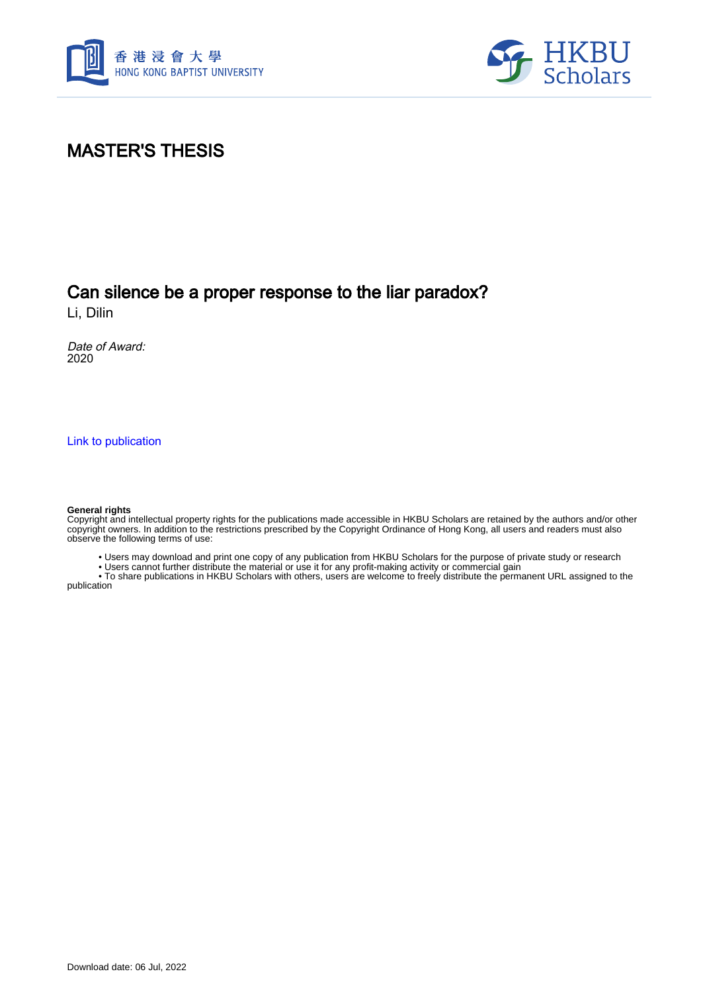



# MASTER'S THESIS

## Can silence be a proper response to the liar paradox?

Li, Dilin

Date of Award: 2020

[Link to publication](https://scholars.hkbu.edu.hk/en/studentTheses/163da9ca-cdef-4b30-9915-f316ec229c0a)

#### **General rights**

Copyright and intellectual property rights for the publications made accessible in HKBU Scholars are retained by the authors and/or other copyright owners. In addition to the restrictions prescribed by the Copyright Ordinance of Hong Kong, all users and readers must also observe the following terms of use:

• Users may download and print one copy of any publication from HKBU Scholars for the purpose of private study or research

• Users cannot further distribute the material or use it for any profit-making activity or commercial gain

 • To share publications in HKBU Scholars with others, users are welcome to freely distribute the permanent URL assigned to the publication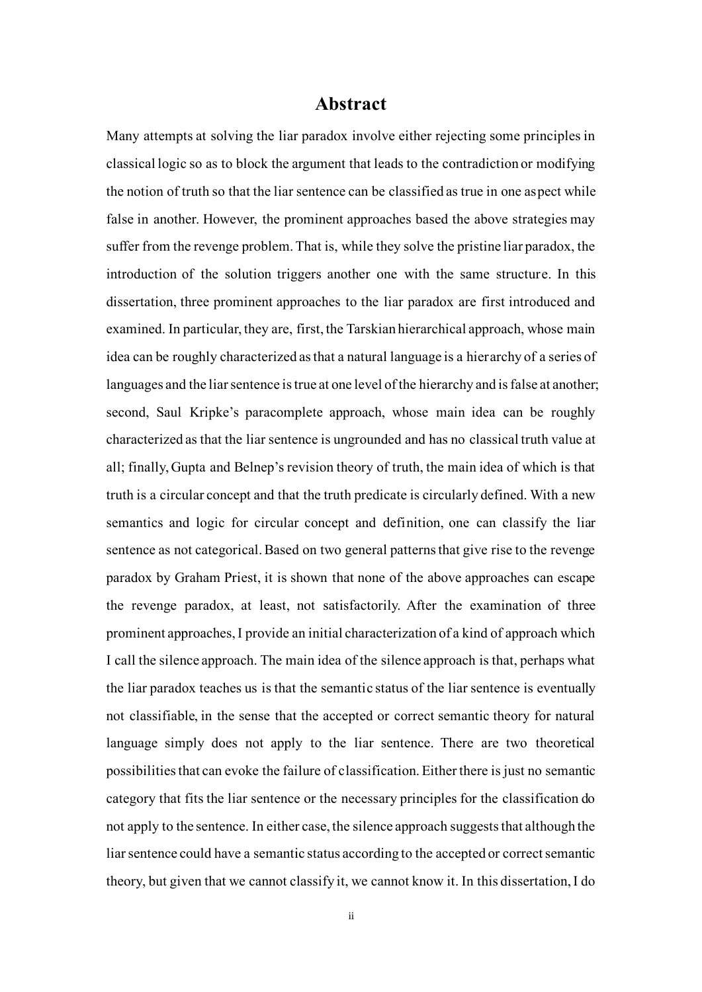### **Abstract**

Many attempts at solving the liar paradox involve either rejecting some principles in classical logic so as to block the argument that leads to the contradiction or modifying the notion of truth so that the liar sentence can be classified as true in one aspect while false in another. However, the prominent approaches based the above strategies may suffer from the revenge problem. That is, while they solve the pristine liar paradox, the introduction of the solution triggers another one with the same structure. In this dissertation, three prominent approaches to the liar paradox are first introduced and examined. In particular, they are, first, the Tarskian hierarchical approach, whose main idea can be roughly characterized as that a natural language is a hierarchy of a series of languages and the liar sentence is true at one level of the hierarchy and is false at another; second, Saul Kripke's paracomplete approach, whose main idea can be roughly characterized as that the liar sentence is ungrounded and has no classical truth value at all; finally, Gupta and Belnep's revision theory of truth, the main idea of which is that truth is a circular concept and that the truth predicate is circularly defined. With a new semantics and logic for circular concept and definition, one can classify the liar sentence as not categorical. Based on two general patterns that give rise to the revenge paradox by Graham Priest, it is shown that none of the above approaches can escape the revenge paradox, at least, not satisfactorily. After the examination of three prominent approaches, I provide an initial characterization of a kind of approach which I call the silence approach. The main idea of the silence approach is that, perhaps what the liar paradox teaches us is that the semantic status of the liar sentence is eventually not classifiable, in the sense that the accepted or correct semantic theory for natural language simply does not apply to the liar sentence. There are two theoretical possibilities that can evoke the failure of classification. Either there is just no semantic category that fits the liar sentence or the necessary principles for the classification do not apply to the sentence. In either case, the silence approach suggests that although the liar sentence could have a semantic status according to the accepted or correct semantic theory, but given that we cannot classify it, we cannot know it. In this dissertation, I do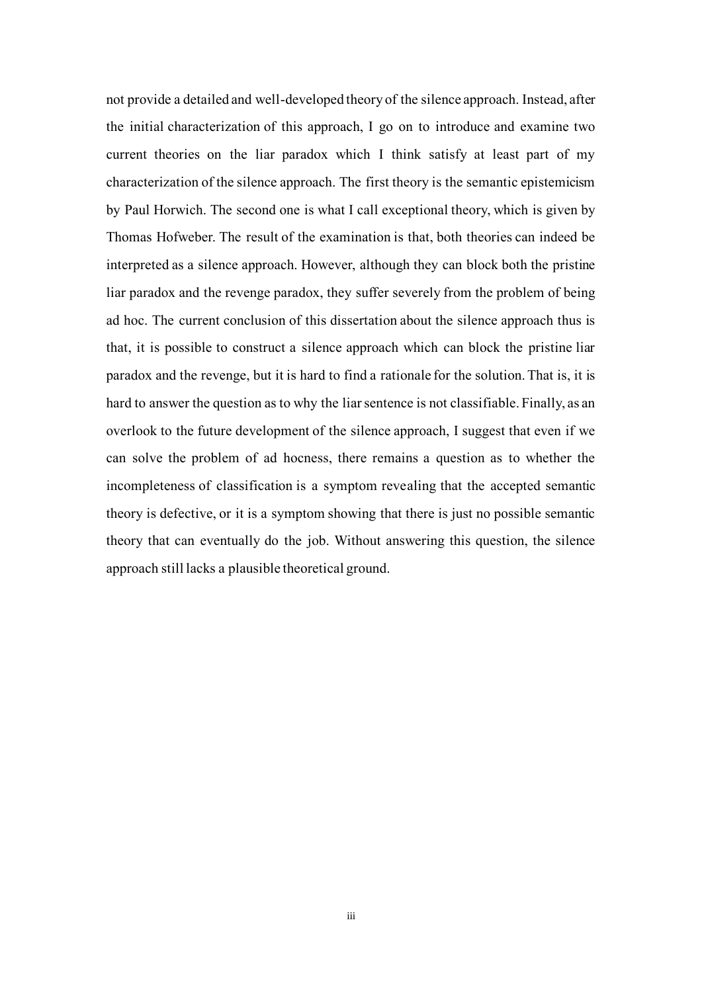not provide a detailed and well-developed theory of the silence approach. Instead, after the initial characterization of this approach, I go on to introduce and examine two current theories on the liar paradox which I think satisfy at least part of my characterization of the silence approach. The first theory is the semantic epistemicism by Paul Horwich. The second one is what I call exceptional theory, which is given by Thomas Hofweber. The result of the examination is that, both theories can indeed be interpreted as a silence approach. However, although they can block both the pristine liar paradox and the revenge paradox, they suffer severely from the problem of being ad hoc. The current conclusion of this dissertation about the silence approach thus is that, it is possible to construct a silence approach which can block the pristine liar paradox and the revenge, but it is hard to find a rationale for the solution. That is, it is hard to answer the question as to why the liar sentence is not classifiable. Finally, as an overlook to the future development of the silence approach, I suggest that even if we can solve the problem of ad hocness, there remains a question as to whether the incompleteness of classification is a symptom revealing that the accepted semantic theory is defective, or it is a symptom showing that there is just no possible semantic theory that can eventually do the job. Without answering this question, the silence approach still lacks a plausible theoretical ground.